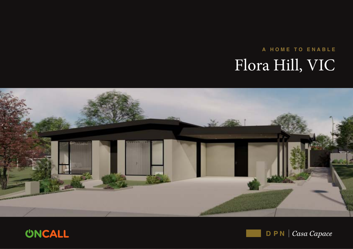# A HOME TO ENABLE Flora Hill, VIC





 $\mathsf{D} \mathsf{P} \mathsf{N}$  | Casa Capace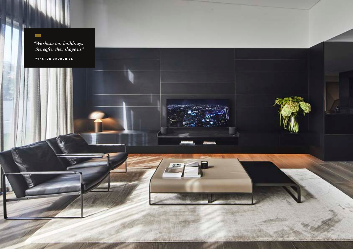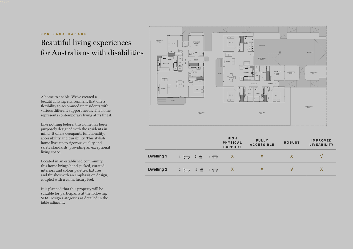#### DPN CASA CAPACE

# Beautiful living experiences for Australians with disabilities

A home to enable. We've created a beautiful living environment that offers flexibility to accommodate residents with various different support needs. The home represents contemporary living at its finest.

Like nothing before, this home has been purposely designed with the residents in mind. It offers occupants functionality, accessibility and durability. This stylish home lives up to rigorous quality and safety standards, providing an exceptional living space.

Located in an established community, this home brings hand-picked, curated interiors and colour palettes, fixtures and finishes with an emphasis on design, coupled with a calm, luxury feel.

It is planned that this property will be suitable for participants at the following SDA Design Categories as detailed in the table adjacent.



|                   |                                                         | <b>HIGH</b><br><b>PHYSICAL</b><br><b>SUPPORT</b> | <b>FULLY</b><br><b>ACCESSIBLE</b> | <b>ROBUST</b> | <b>IMPROVED</b><br><b>LIVEABILITY</b> |
|-------------------|---------------------------------------------------------|--------------------------------------------------|-----------------------------------|---------------|---------------------------------------|
| <b>Dwelling 1</b> | $3 \Leftrightarrow 2 \Leftrightarrow 1 \Leftrightarrow$ | 水                                                |                                   | X             | M                                     |
| <b>Dwelling 2</b> | $2 \Leftrightarrow 2 \Leftrightarrow 1 \Leftrightarrow$ | $\mathsf{X}$                                     |                                   | $\mathcal{U}$ |                                       |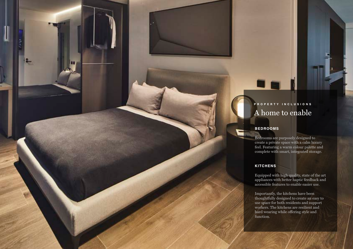# PROPERTY INCLUSIONS A home to enable

#### BEDROOMS

Bedrooms are purposely designed to create a private space with a calm luxury feel. Featuring a warm colour palette and complete with smart, integrated storage.

#### **KITCHENS**

Equipped with high quality, state of the art appliances with better haptic feedback and accessible features to enable easier use.

Importantly, the kitchens have been thoughtfully designed to create an easy to use space for both residents and support workers. The kitchens are resilient and hard wearing while offering style and function.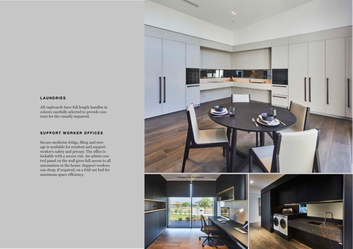#### LAUNDRIES

All cupboards have full length handles in colours carefully selected to provide contrast for the visually impaired.

#### SUPPORT WORKER OFFICES

Secure medicine fridge, filing and storage is available for resident and support worker's safety and privacy. The office is lockable with a secure exit. An admin control panel on the wall gives full access to all automation in the house. Support workers can sleep, if required, on a fold out bed for maximum space efficiency.

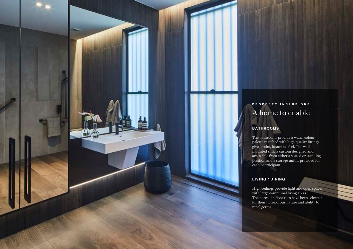# PROPERTY INCLUSIONS A home to enable

#### BATHROOMS

The bathrooms provide a warm colour palette matched with high quality fittings give a calm, luxurious feel. The wall mounted sink is custom designed and accessible from either a seated or standing position and a storage unit is provided for each paerticipant.

#### LIVING / DINING

High ceilings provide light and open space, with large communal living areas. The porcelain floor tiles have been selected for their non-porous nature and ability to repel germs.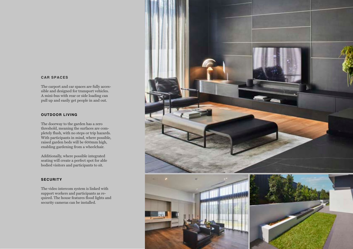#### CAR SPACES

The carport and car spaces are fully accessible and designed for transport vehicles. A mini-bus with rear or side loading can pull up and easily get people in and out.

#### OUTDOOR LIVING

The doorway to the garden has a zero threshold, meaning the surfaces are completely flush, with no steps or trip hazards. With participants in mind, where possible, raised garden beds will be 600mm high, enabling gardening from a wheelchair.

Additionally, where possible integrated seating will create a perfect spot for able bodied visitors and participants to sit.

#### **SECURITY**

The video intercom system is linked with support workers and participants as required. The house features flood lights and security cameras can be installed.

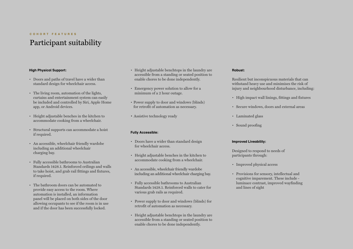#### COHORT FEATURES

# Participant suitability

#### High Physical Support:

- Doors and paths of travel have a wider than standard design for wheelchair access.
- The living room, automation of the lights, curtains and entertainment system can easily be included and controlled by Siri, Apple Home app, or Android devices.
- Height adjustable benches in the kitchen to accommodate cooking from a wheelchair.
- Structural supports can accommodate a hoist if required.
- An accessible, wheelchair friendly wardobe including an additional wheelchair charging bay.
- Fully accessible bathrooms to Australian Standards 1428.1. Reinforced ceilings and walls to take hoist, and grab rail fittings and fixtures, if required.
- The bathroom doors can be automated to provide easy access to the room. Where automation is installed, an information panel will be placed on both sides of the door allowing occupants to see if the room is in use and if the door has been successfully locked.
- Height adjustable benchtops in the laundry are accessible from a standing or seated position to enable chores to be done independently.
- Emergency power solution to allow for a minimum of a 2 hour outage.
- Power supply to door and windows (blinds) for retrofit of automation as necessary.
- Assistive technology ready

#### Fully Accessible:

- Doors have a wider than standard design for wheelchair access.
- Height adjustable benches in the kitchen to accommodate cooking from a wheelchair.
- An accessible, wheelchair friendly wardobe including an additional wheelchair charging bay.
- Fully accessible bathrooms to Australian Standards 1428.1. Reinforced walls to cater for various grab rails as required.
- Power supply to door and windows (blinds) for retrofit of automation as necessary.
- Height adjustable benchtops in the laundry are accessible from a standing or seated position to enable chores to be done independently.

#### Robust:

Resilient but inconspicuous materials that can withstand heavy use and minimises the risk of injury and neighbourhood disturbance, including:

- High impact wall linings, fittings and fixtures
- Secure windows, doors and external areas
- Laminated glass
- Sound proofing

#### Improved Liveability:

Designed to respond to needs of participants through:

- Improved physical access
- Provisions for sensory, intellectual and cognitive imparement. These include luminace contrast, improved wayfinding and lines of sight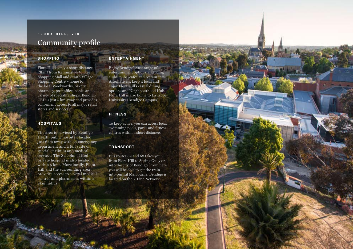### FLORA HILL, VIC Community profile

**HILL LANT** 

#### **SHOPPING**

Flora Hill is only a short distance (3km) from Kennington Village Shopping Mall and Strath Village Shopping Centre – home to the local Woolworths, bakery, pharmacy, post office, banks and a variety of speciality shops. Bendigo CBD is just 5 km away and provides convenient access to all major retail stores and services.

#### **HOSPITALS**

The area is serviced by Bendigo Health public hospital, located just 6km away with an emergency department and a full suite of specialist clinics and medical services. The St. John of God private hospital is also located within 5 kms. More locally, Flora Hill and the surrounding area provides access to several medical centres and pharmacies within a 3km radius.

#### **ENTERTAINMENT**

Enjoy Bendigo's vast range of entertainment options, including clubs, pubs, cafes and restaurants. Alternatively, keep it local and enjoy Flora Hill's casual dining options and Neighbourhood Hub. Flora Hill is also home to La Trobe University (Bendigo Campus).

#### **FITNESS**

To keep active, you can access local swimming pools, parks and fitness centres within a short distance.

#### TRANSPORT

Bus routes 62 and 63 takes you from Flora Hill to Spring Gully or into the city of Bendigo. From here you will be able to get the train into central Melbourne. Bendigo is located on the V Line Network.

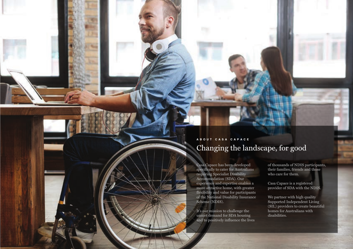## ABOUT CASA CAPACE Changing the landscape, for good

Casa Capace has been developed specifically to cater for Australians requiring Specialist Disability Accommodation (SDA). Our experience and expertise enables a more attractive home, with greater flexibility and value for participants of the National Disability Insurance Scheme (NDIS).

It's our mission to challenge the unmet demand for SDA housing and to positively influence the lives of thousands of NDIS participants, their families, friends and those who care for them.

Casa Capace is a registered provider of SDA with the NDIS.

We partner with high quality Supported Independent Living (SIL) providers to create beautiful homes for Australians with disabilities.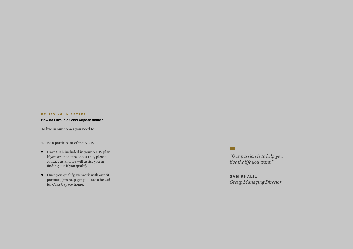#### BELIEVING IN BETTER

#### How do I live in a Casa Capace home?

To live in our homes you need to:

- 1. Be a participant of the NDIS.
- 2. Have SDA included in your NDIS plan. If you are not sure about this, please contact us and we will assist you in finding out if you qualify.
- 3. Once you qualify, we work with our SIL partner(s) to help get you into a beauti ful Casa Capace home.

*"Our passion is to help you live the life you want."* 

 $\blacksquare$ 

SAM KHALIL *Group Managing Director*